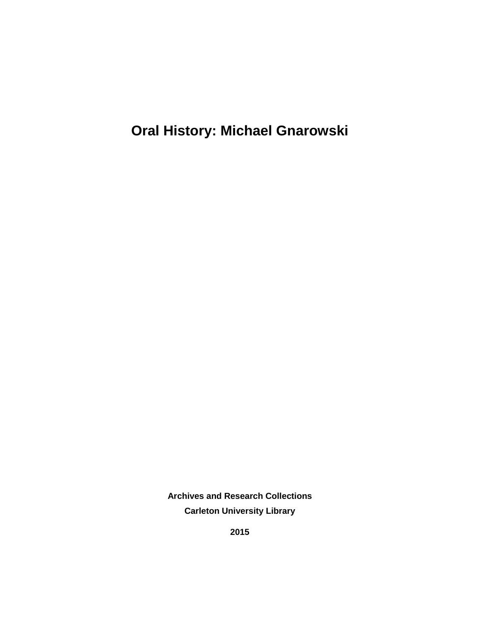**Oral History: Michael Gnarowski**

**Archives and Research Collections Carleton University Library**

**2015**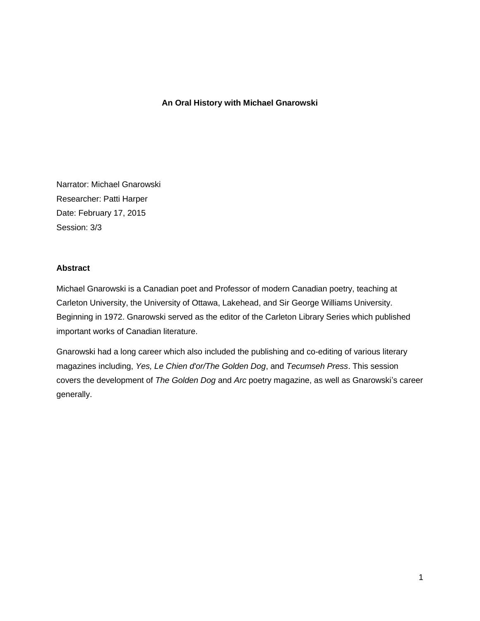### **An Oral History with Michael Gnarowski**

Narrator: Michael Gnarowski Researcher: Patti Harper Date: February 17, 2015 Session: 3/3

### **Abstract**

Michael Gnarowski is a Canadian poet and Professor of modern Canadian poetry, teaching at Carleton University, the University of Ottawa, Lakehead, and Sir George Williams University. Beginning in 1972. Gnarowski served as the editor of the Carleton Library Series which published important works of Canadian literature.

Gnarowski had a long career which also included the publishing and co-editing of various literary magazines including, *Yes, Le Chien d'or/The Golden Dog*, and *Tecumseh Press*. This session covers the development of *The Golden Dog* and *Arc* poetry magazine, as well as Gnarowski's career generally.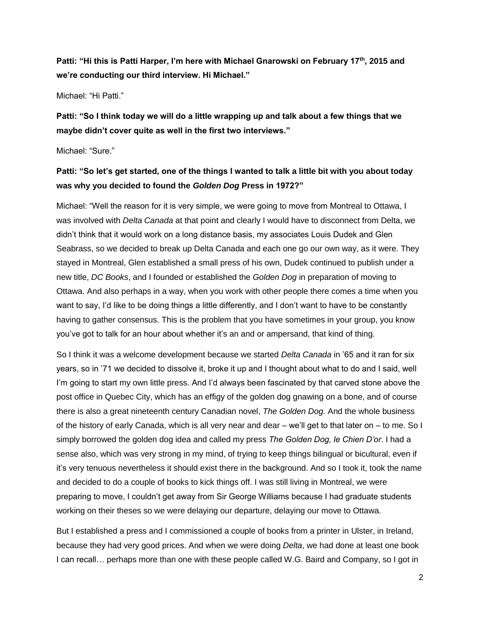**Patti: "Hi this is Patti Harper, I'm here with Michael Gnarowski on February 17th, 2015 and we're conducting our third interview. Hi Michael."**

Michael: "Hi Patti."

**Patti: "So I think today we will do a little wrapping up and talk about a few things that we maybe didn't cover quite as well in the first two interviews."**

Michael: "Sure."

## **Patti: "So let's get started, one of the things I wanted to talk a little bit with you about today was why you decided to found the** *Golden Dog* **Press in 1972?"**

Michael: "Well the reason for it is very simple, we were going to move from Montreal to Ottawa, I was involved with *Delta Canada* at that point and clearly I would have to disconnect from Delta, we didn't think that it would work on a long distance basis, my associates Louis Dudek and Glen Seabrass, so we decided to break up Delta Canada and each one go our own way, as it were. They stayed in Montreal, Glen established a small press of his own, Dudek continued to publish under a new title, *DC Books*, and I founded or established the *Golden Dog* in preparation of moving to Ottawa. And also perhaps in a way, when you work with other people there comes a time when you want to say, I'd like to be doing things a little differently, and I don't want to have to be constantly having to gather consensus. This is the problem that you have sometimes in your group, you know you've got to talk for an hour about whether it's an and or ampersand, that kind of thing.

So I think it was a welcome development because we started *Delta Canada* in '65 and it ran for six years, so in '71 we decided to dissolve it, broke it up and I thought about what to do and I said, well I'm going to start my own little press. And I'd always been fascinated by that carved stone above the post office in Quebec City, which has an effigy of the golden dog gnawing on a bone, and of course there is also a great nineteenth century Canadian novel, *The Golden Dog.* And the whole business of the history of early Canada, which is all very near and dear – we'll get to that later on – to me. So I simply borrowed the golden dog idea and called my press *The Golden Dog, le Chien D'or*. I had a sense also, which was very strong in my mind, of trying to keep things bilingual or bicultural, even if it's very tenuous nevertheless it should exist there in the background. And so I took it, took the name and decided to do a couple of books to kick things off. I was still living in Montreal, we were preparing to move, I couldn't get away from Sir George Williams because I had graduate students working on their theses so we were delaying our departure, delaying our move to Ottawa.

But I established a press and I commissioned a couple of books from a printer in Ulster, in Ireland, because they had very good prices. And when we were doing *Delta*, we had done at least one book I can recall… perhaps more than one with these people called W.G. Baird and Company, so I got in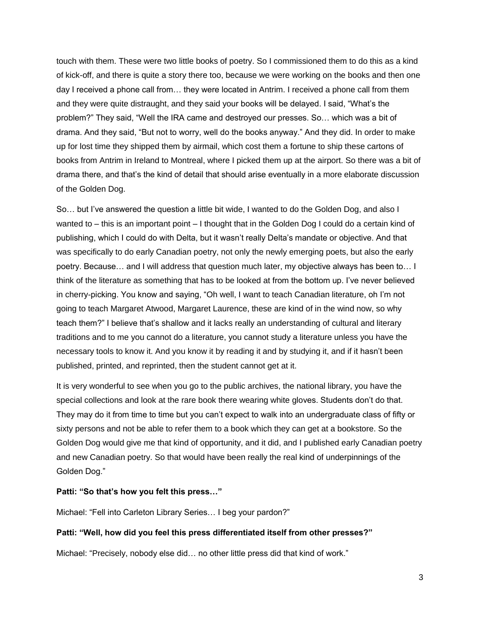touch with them. These were two little books of poetry. So I commissioned them to do this as a kind of kick-off, and there is quite a story there too, because we were working on the books and then one day I received a phone call from… they were located in Antrim. I received a phone call from them and they were quite distraught, and they said your books will be delayed. I said, "What's the problem?" They said, "Well the IRA came and destroyed our presses. So… which was a bit of drama. And they said, "But not to worry, well do the books anyway." And they did. In order to make up for lost time they shipped them by airmail, which cost them a fortune to ship these cartons of books from Antrim in Ireland to Montreal, where I picked them up at the airport. So there was a bit of drama there, and that's the kind of detail that should arise eventually in a more elaborate discussion of the Golden Dog.

So… but I've answered the question a little bit wide, I wanted to do the Golden Dog, and also I wanted to – this is an important point – I thought that in the Golden Dog I could do a certain kind of publishing, which I could do with Delta, but it wasn't really Delta's mandate or objective. And that was specifically to do early Canadian poetry, not only the newly emerging poets, but also the early poetry. Because… and I will address that question much later, my objective always has been to… I think of the literature as something that has to be looked at from the bottom up. I've never believed in cherry-picking. You know and saying, "Oh well, I want to teach Canadian literature, oh I'm not going to teach Margaret Atwood, Margaret Laurence, these are kind of in the wind now, so why teach them?" I believe that's shallow and it lacks really an understanding of cultural and literary traditions and to me you cannot do a literature, you cannot study a literature unless you have the necessary tools to know it. And you know it by reading it and by studying it, and if it hasn't been published, printed, and reprinted, then the student cannot get at it.

It is very wonderful to see when you go to the public archives, the national library, you have the special collections and look at the rare book there wearing white gloves. Students don't do that. They may do it from time to time but you can't expect to walk into an undergraduate class of fifty or sixty persons and not be able to refer them to a book which they can get at a bookstore. So the Golden Dog would give me that kind of opportunity, and it did, and I published early Canadian poetry and new Canadian poetry. So that would have been really the real kind of underpinnings of the Golden Dog."

### **Patti: "So that's how you felt this press…"**

Michael: "Fell into Carleton Library Series… I beg your pardon?"

### **Patti: "Well, how did you feel this press differentiated itself from other presses?"**

Michael: "Precisely, nobody else did… no other little press did that kind of work."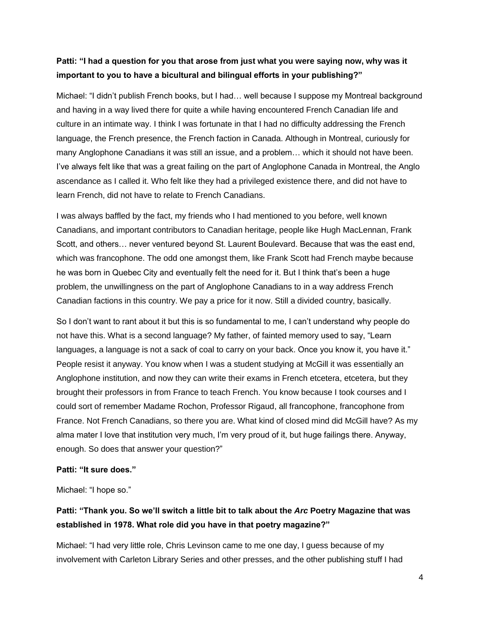## **Patti: "I had a question for you that arose from just what you were saying now, why was it important to you to have a bicultural and bilingual efforts in your publishing?"**

Michael: "I didn't publish French books, but I had… well because I suppose my Montreal background and having in a way lived there for quite a while having encountered French Canadian life and culture in an intimate way. I think I was fortunate in that I had no difficulty addressing the French language, the French presence, the French faction in Canada. Although in Montreal, curiously for many Anglophone Canadians it was still an issue, and a problem… which it should not have been. I've always felt like that was a great failing on the part of Anglophone Canada in Montreal, the Anglo ascendance as I called it. Who felt like they had a privileged existence there, and did not have to learn French, did not have to relate to French Canadians.

I was always baffled by the fact, my friends who I had mentioned to you before, well known Canadians, and important contributors to Canadian heritage, people like Hugh MacLennan, Frank Scott, and others… never ventured beyond St. Laurent Boulevard. Because that was the east end, which was francophone. The odd one amongst them, like Frank Scott had French maybe because he was born in Quebec City and eventually felt the need for it. But I think that's been a huge problem, the unwillingness on the part of Anglophone Canadians to in a way address French Canadian factions in this country. We pay a price for it now. Still a divided country, basically.

So I don't want to rant about it but this is so fundamental to me, I can't understand why people do not have this. What is a second language? My father, of fainted memory used to say, "Learn languages, a language is not a sack of coal to carry on your back. Once you know it, you have it." People resist it anyway. You know when I was a student studying at McGill it was essentially an Anglophone institution, and now they can write their exams in French etcetera, etcetera, but they brought their professors in from France to teach French. You know because I took courses and I could sort of remember Madame Rochon, Professor Rigaud, all francophone, francophone from France. Not French Canadians, so there you are. What kind of closed mind did McGill have? As my alma mater I love that institution very much, I'm very proud of it, but huge failings there. Anyway, enough. So does that answer your question?"

### **Patti: "It sure does."**

Michael: "I hope so."

# **Patti: "Thank you. So we'll switch a little bit to talk about the** *Arc* **Poetry Magazine that was established in 1978. What role did you have in that poetry magazine?"**

Michael: "I had very little role, Chris Levinson came to me one day, I guess because of my involvement with Carleton Library Series and other presses, and the other publishing stuff I had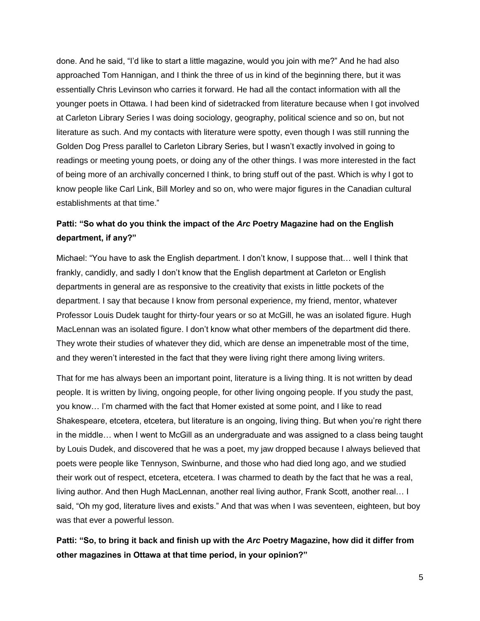done. And he said, "I'd like to start a little magazine, would you join with me?" And he had also approached Tom Hannigan, and I think the three of us in kind of the beginning there, but it was essentially Chris Levinson who carries it forward. He had all the contact information with all the younger poets in Ottawa. I had been kind of sidetracked from literature because when I got involved at Carleton Library Series I was doing sociology, geography, political science and so on, but not literature as such. And my contacts with literature were spotty, even though I was still running the Golden Dog Press parallel to Carleton Library Series, but I wasn't exactly involved in going to readings or meeting young poets, or doing any of the other things. I was more interested in the fact of being more of an archivally concerned I think, to bring stuff out of the past. Which is why I got to know people like Carl Link, Bill Morley and so on, who were major figures in the Canadian cultural establishments at that time."

## **Patti: "So what do you think the impact of the** *Arc* **Poetry Magazine had on the English department, if any?"**

Michael: "You have to ask the English department. I don't know, I suppose that… well I think that frankly, candidly, and sadly I don't know that the English department at Carleton or English departments in general are as responsive to the creativity that exists in little pockets of the department. I say that because I know from personal experience, my friend, mentor, whatever Professor Louis Dudek taught for thirty-four years or so at McGill, he was an isolated figure. Hugh MacLennan was an isolated figure. I don't know what other members of the department did there. They wrote their studies of whatever they did, which are dense an impenetrable most of the time, and they weren't interested in the fact that they were living right there among living writers.

That for me has always been an important point, literature is a living thing. It is not written by dead people. It is written by living, ongoing people, for other living ongoing people. If you study the past, you know… I'm charmed with the fact that Homer existed at some point, and I like to read Shakespeare, etcetera, etcetera, but literature is an ongoing, living thing. But when you're right there in the middle… when I went to McGill as an undergraduate and was assigned to a class being taught by Louis Dudek, and discovered that he was a poet, my jaw dropped because I always believed that poets were people like Tennyson, Swinburne, and those who had died long ago, and we studied their work out of respect, etcetera, etcetera. I was charmed to death by the fact that he was a real, living author. And then Hugh MacLennan, another real living author, Frank Scott, another real… I said, "Oh my god, literature lives and exists." And that was when I was seventeen, eighteen, but boy was that ever a powerful lesson.

**Patti: "So, to bring it back and finish up with the** *Arc* **Poetry Magazine, how did it differ from other magazines in Ottawa at that time period, in your opinion?"**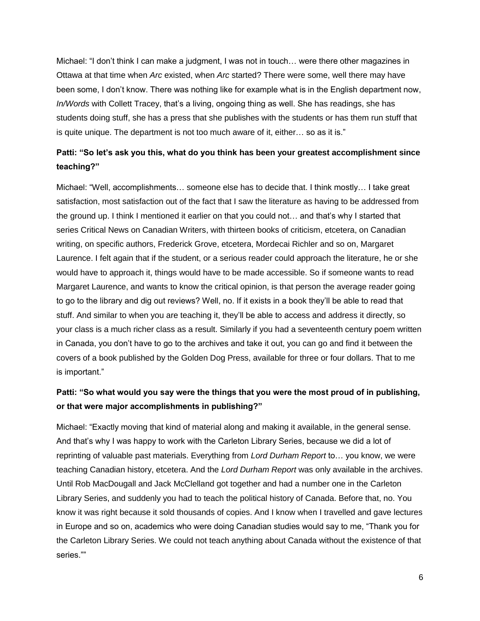Michael: "I don't think I can make a judgment, I was not in touch… were there other magazines in Ottawa at that time when *Arc* existed, when *Arc* started? There were some, well there may have been some, I don't know. There was nothing like for example what is in the English department now, *In/Words* with Collett Tracey, that's a living, ongoing thing as well. She has readings, she has students doing stuff, she has a press that she publishes with the students or has them run stuff that is quite unique. The department is not too much aware of it, either… so as it is."

# **Patti: "So let's ask you this, what do you think has been your greatest accomplishment since teaching?"**

Michael: "Well, accomplishments… someone else has to decide that. I think mostly… I take great satisfaction, most satisfaction out of the fact that I saw the literature as having to be addressed from the ground up. I think I mentioned it earlier on that you could not… and that's why I started that series Critical News on Canadian Writers, with thirteen books of criticism, etcetera, on Canadian writing, on specific authors, Frederick Grove, etcetera, Mordecai Richler and so on, Margaret Laurence. I felt again that if the student, or a serious reader could approach the literature, he or she would have to approach it, things would have to be made accessible. So if someone wants to read Margaret Laurence, and wants to know the critical opinion, is that person the average reader going to go to the library and dig out reviews? Well, no. If it exists in a book they'll be able to read that stuff. And similar to when you are teaching it, they'll be able to access and address it directly, so your class is a much richer class as a result. Similarly if you had a seventeenth century poem written in Canada, you don't have to go to the archives and take it out, you can go and find it between the covers of a book published by the Golden Dog Press, available for three or four dollars. That to me is important."

## **Patti: "So what would you say were the things that you were the most proud of in publishing, or that were major accomplishments in publishing?"**

Michael: "Exactly moving that kind of material along and making it available, in the general sense. And that's why I was happy to work with the Carleton Library Series, because we did a lot of reprinting of valuable past materials. Everything from *Lord Durham Report* to… you know, we were teaching Canadian history, etcetera. And the *Lord Durham Report* was only available in the archives. Until Rob MacDougall and Jack McClelland got together and had a number one in the Carleton Library Series, and suddenly you had to teach the political history of Canada. Before that, no. You know it was right because it sold thousands of copies. And I know when I travelled and gave lectures in Europe and so on, academics who were doing Canadian studies would say to me, "Thank you for the Carleton Library Series. We could not teach anything about Canada without the existence of that series.""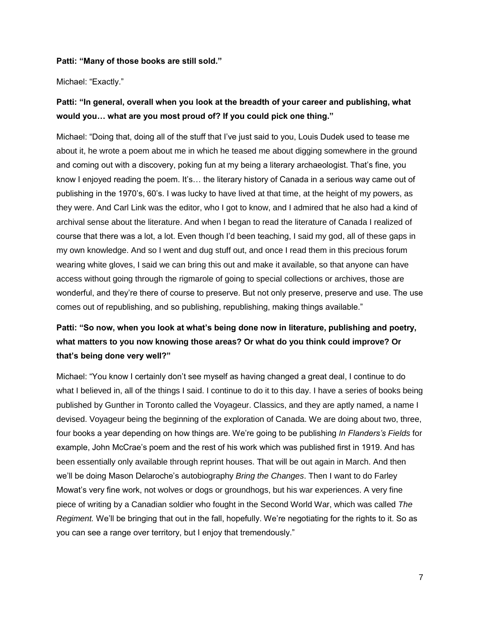#### **Patti: "Many of those books are still sold."**

Michael: "Exactly."

# **Patti: "In general, overall when you look at the breadth of your career and publishing, what would you… what are you most proud of? If you could pick one thing."**

Michael: "Doing that, doing all of the stuff that I've just said to you, Louis Dudek used to tease me about it, he wrote a poem about me in which he teased me about digging somewhere in the ground and coming out with a discovery, poking fun at my being a literary archaeologist. That's fine, you know I enjoyed reading the poem. It's… the literary history of Canada in a serious way came out of publishing in the 1970's, 60's. I was lucky to have lived at that time, at the height of my powers, as they were. And Carl Link was the editor, who I got to know, and I admired that he also had a kind of archival sense about the literature. And when I began to read the literature of Canada I realized of course that there was a lot, a lot. Even though I'd been teaching, I said my god, all of these gaps in my own knowledge. And so I went and dug stuff out, and once I read them in this precious forum wearing white gloves, I said we can bring this out and make it available, so that anyone can have access without going through the rigmarole of going to special collections or archives, those are wonderful, and they're there of course to preserve. But not only preserve, preserve and use. The use comes out of republishing, and so publishing, republishing, making things available."

# **Patti: "So now, when you look at what's being done now in literature, publishing and poetry, what matters to you now knowing those areas? Or what do you think could improve? Or that's being done very well?"**

Michael: "You know I certainly don't see myself as having changed a great deal, I continue to do what I believed in, all of the things I said. I continue to do it to this day. I have a series of books being published by Gunther in Toronto called the Voyageur. Classics, and they are aptly named, a name I devised. Voyageur being the beginning of the exploration of Canada. We are doing about two, three, four books a year depending on how things are. We're going to be publishing *In Flanders's Fields* for example, John McCrae's poem and the rest of his work which was published first in 1919. And has been essentially only available through reprint houses. That will be out again in March. And then we'll be doing Mason Delaroche's autobiography *Bring the Changes*. Then I want to do Farley Mowat's very fine work, not wolves or dogs or groundhogs, but his war experiences. A very fine piece of writing by a Canadian soldier who fought in the Second World War, which was called *The Regiment.* We'll be bringing that out in the fall, hopefully. We're negotiating for the rights to it. So as you can see a range over territory, but I enjoy that tremendously."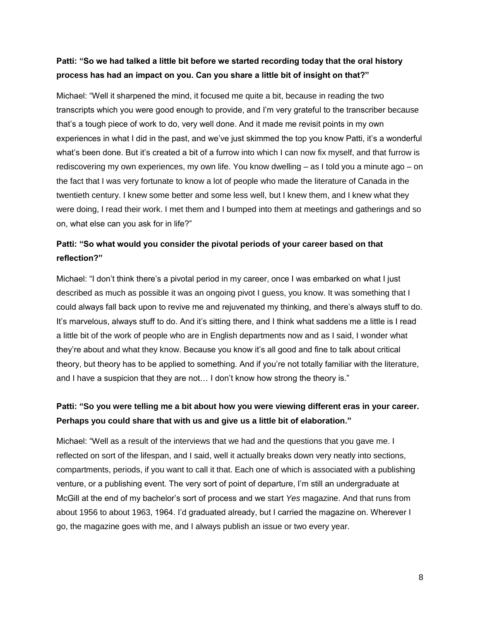## **Patti: "So we had talked a little bit before we started recording today that the oral history process has had an impact on you. Can you share a little bit of insight on that?"**

Michael: "Well it sharpened the mind, it focused me quite a bit, because in reading the two transcripts which you were good enough to provide, and I'm very grateful to the transcriber because that's a tough piece of work to do, very well done. And it made me revisit points in my own experiences in what I did in the past, and we've just skimmed the top you know Patti, it's a wonderful what's been done. But it's created a bit of a furrow into which I can now fix myself, and that furrow is rediscovering my own experiences, my own life. You know dwelling – as I told you a minute ago – on the fact that I was very fortunate to know a lot of people who made the literature of Canada in the twentieth century. I knew some better and some less well, but I knew them, and I knew what they were doing, I read their work. I met them and I bumped into them at meetings and gatherings and so on, what else can you ask for in life?"

## **Patti: "So what would you consider the pivotal periods of your career based on that reflection?"**

Michael: "I don't think there's a pivotal period in my career, once I was embarked on what I just described as much as possible it was an ongoing pivot I guess, you know. It was something that I could always fall back upon to revive me and rejuvenated my thinking, and there's always stuff to do. It's marvelous, always stuff to do. And it's sitting there, and I think what saddens me a little is I read a little bit of the work of people who are in English departments now and as I said, I wonder what they're about and what they know. Because you know it's all good and fine to talk about critical theory, but theory has to be applied to something. And if you're not totally familiar with the literature, and I have a suspicion that they are not… I don't know how strong the theory is."

## **Patti: "So you were telling me a bit about how you were viewing different eras in your career. Perhaps you could share that with us and give us a little bit of elaboration."**

Michael: "Well as a result of the interviews that we had and the questions that you gave me. I reflected on sort of the lifespan, and I said, well it actually breaks down very neatly into sections, compartments, periods, if you want to call it that. Each one of which is associated with a publishing venture, or a publishing event. The very sort of point of departure, I'm still an undergraduate at McGill at the end of my bachelor's sort of process and we start *Yes* magazine. And that runs from about 1956 to about 1963, 1964. I'd graduated already, but I carried the magazine on. Wherever I go, the magazine goes with me, and I always publish an issue or two every year.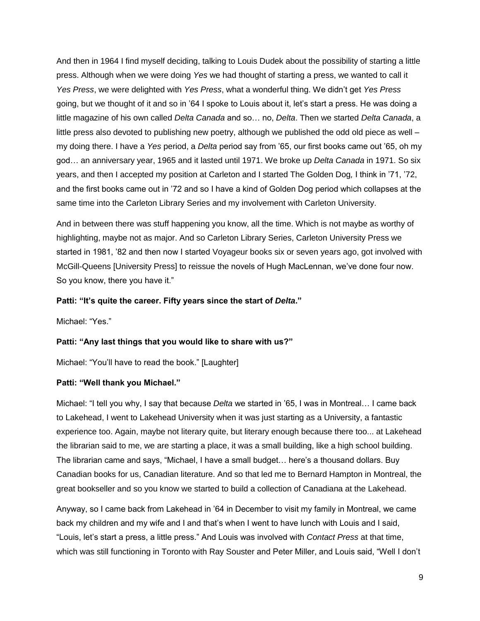And then in 1964 I find myself deciding, talking to Louis Dudek about the possibility of starting a little press. Although when we were doing *Yes* we had thought of starting a press, we wanted to call it *Yes Press*, we were delighted with *Yes Press*, what a wonderful thing. We didn't get *Yes Press* going, but we thought of it and so in '64 I spoke to Louis about it, let's start a press. He was doing a little magazine of his own called *Delta Canada* and so… no, *Delta*. Then we started *Delta Canada*, a little press also devoted to publishing new poetry, although we published the odd old piece as well – my doing there. I have a *Yes* period, a *Delta* period say from '65, our first books came out '65, oh my god… an anniversary year, 1965 and it lasted until 1971. We broke up *Delta Canada* in 1971. So six years, and then I accepted my position at Carleton and I started The Golden Dog*,* I think in '71, '72, and the first books came out in '72 and so I have a kind of Golden Dog period which collapses at the same time into the Carleton Library Series and my involvement with Carleton University.

And in between there was stuff happening you know, all the time. Which is not maybe as worthy of highlighting, maybe not as major. And so Carleton Library Series, Carleton University Press we started in 1981, '82 and then now I started Voyageur books six or seven years ago, got involved with McGill-Queens [University Press] to reissue the novels of Hugh MacLennan, we've done four now. So you know, there you have it."

### **Patti: "It's quite the career. Fifty years since the start of** *Delta***."**

Michael: "Yes."

#### **Patti: "Any last things that you would like to share with us?"**

Michael: "You'll have to read the book." [Laughter]

#### **Patti: "Well thank you Michael."**

Michael: "I tell you why, I say that because *Delta* we started in '65, I was in Montreal… I came back to Lakehead, I went to Lakehead University when it was just starting as a University, a fantastic experience too. Again, maybe not literary quite, but literary enough because there too... at Lakehead the librarian said to me, we are starting a place, it was a small building, like a high school building. The librarian came and says, "Michael, I have a small budget… here's a thousand dollars. Buy Canadian books for us, Canadian literature. And so that led me to Bernard Hampton in Montreal, the great bookseller and so you know we started to build a collection of Canadiana at the Lakehead.

Anyway, so I came back from Lakehead in '64 in December to visit my family in Montreal, we came back my children and my wife and I and that's when I went to have lunch with Louis and I said, "Louis, let's start a press, a little press." And Louis was involved with *Contact Press* at that time, which was still functioning in Toronto with Ray Souster and Peter Miller, and Louis said, "Well I don't